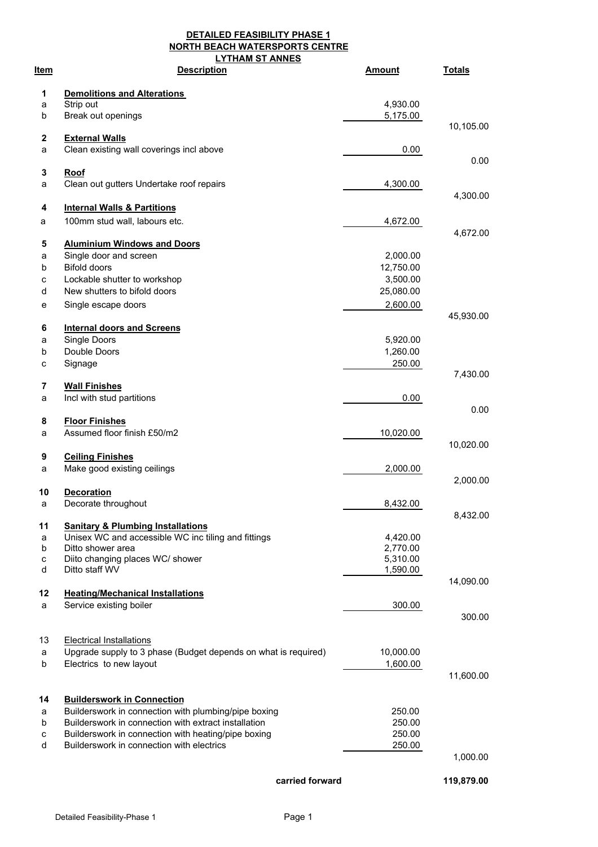**DETAILED FEASIBILITY PHASE 1 NORTH BEACH WATERSPORTS CENTRE LYTHAM ST ANNES**

| ltem   | <b>Description</b>                                                       | <b>Amount</b>        | <b>Totals</b> |
|--------|--------------------------------------------------------------------------|----------------------|---------------|
| 1      | <b>Demolitions and Alterations</b>                                       |                      |               |
| а      | Strip out                                                                | 4,930.00             |               |
| b      | Break out openings                                                       | 5,175.00             |               |
|        |                                                                          |                      | 10,105.00     |
| 2      | <b>External Walls</b>                                                    |                      |               |
| a      | Clean existing wall coverings incl above                                 | 0.00                 | 0.00          |
| 3      | Roof                                                                     |                      |               |
| a      | Clean out gutters Undertake roof repairs                                 | 4,300.00             |               |
| 4      | <b>Internal Walls &amp; Partitions</b>                                   |                      | 4,300.00      |
| a      | 100mm stud wall, labours etc.                                            | 4,672.00             |               |
|        |                                                                          |                      | 4,672.00      |
| 5      | <b>Aluminium Windows and Doors</b>                                       |                      |               |
| а      | Single door and screen                                                   | 2,000.00             |               |
| b      | <b>Bifold doors</b>                                                      | 12,750.00            |               |
| с      | Lockable shutter to workshop                                             | 3,500.00             |               |
| d      | New shutters to bifold doors                                             | 25,080.00            |               |
| е      | Single escape doors                                                      | 2,600.00             |               |
|        |                                                                          |                      | 45,930.00     |
| 6      | <b>Internal doors and Screens</b><br>Single Doors                        |                      |               |
| а      | Double Doors                                                             | 5,920.00             |               |
| b      |                                                                          | 1,260.00             |               |
| с      | Signage                                                                  | 250.00               | 7,430.00      |
| 7      | <b>Wall Finishes</b>                                                     |                      |               |
| а      | Incl with stud partitions                                                | 0.00                 |               |
| 8      | <b>Floor Finishes</b>                                                    |                      | 0.00          |
| а      | Assumed floor finish £50/m2                                              | 10,020.00            |               |
|        |                                                                          |                      | 10,020.00     |
| 9      | <b>Ceiling Finishes</b>                                                  |                      |               |
| a      | Make good existing ceilings                                              | 2,000.00             | 2,000.00      |
| 10     | <b>Decoration</b>                                                        |                      |               |
| a      | Decorate throughout                                                      | 8,432.00             |               |
|        |                                                                          |                      | 8,432.00      |
| 11     | <b>Sanitary &amp; Plumbing Installations</b>                             |                      |               |
| a<br>b | Unisex WC and accessible WC inc tiling and fittings<br>Ditto shower area | 4,420.00<br>2,770.00 |               |
| с      | Diito changing places WC/ shower                                         | 5,310.00             |               |
| d      | Ditto staff WV                                                           | 1,590.00             |               |
|        |                                                                          |                      | 14,090.00     |
| 12     | <b>Heating/Mechanical Installations</b>                                  |                      |               |
| a      | Service existing boiler                                                  | 300.00               | 300.00        |
|        |                                                                          |                      |               |
| 13     | <b>Electrical Installations</b>                                          |                      |               |
| а      | Upgrade supply to 3 phase (Budget depends on what is required)           | 10,000.00            |               |
| b      | Electrics to new layout                                                  | 1,600.00             |               |
|        |                                                                          |                      | 11,600.00     |
| 14     | <b>Builderswork in Connection</b>                                        |                      |               |
| a      | Builderswork in connection with plumbing/pipe boxing                     | 250.00               |               |
| b      | Builderswork in connection with extract installation                     | 250.00               |               |
| с      | Builderswork in connection with heating/pipe boxing                      | 250.00               |               |
| d      | Builderswork in connection with electrics                                | 250.00               |               |
|        |                                                                          |                      | 1,000.00      |
|        | carried forward                                                          |                      | 119,879.00    |
|        |                                                                          |                      |               |